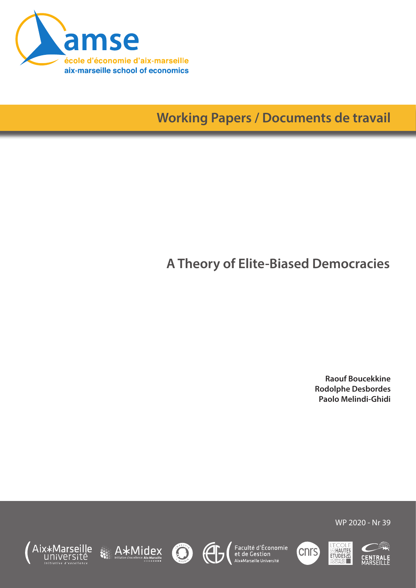

**Working Papers / Documents de travail**

# **A Theory of Elite-Biased Democracies**

**Raouf Boucekkine Rodolphe Desbordes Paolo Melindi-Ghidi**













WP 2020 - Nr 39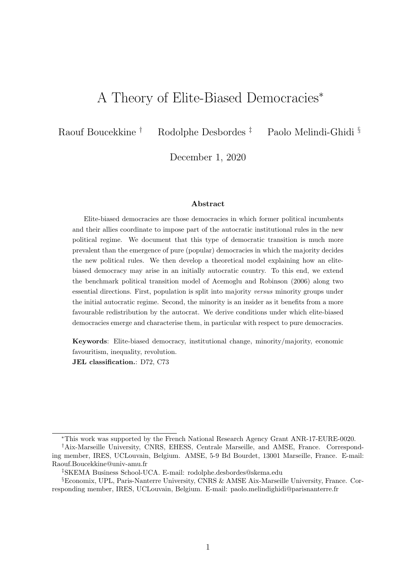## A Theory of Elite-Biased Democracies<sup>∗</sup>

Raouf Boucekkine † Rodolphe Desbordes ‡ Paolo Melindi-Ghidi §

December 1, 2020

#### Abstract

Elite-biased democracies are those democracies in which former political incumbents and their allies coordinate to impose part of the autocratic institutional rules in the new political regime. We document that this type of democratic transition is much more prevalent than the emergence of pure (popular) democracies in which the majority decides the new political rules. We then develop a theoretical model explaining how an elitebiased democracy may arise in an initially autocratic country. To this end, we extend the benchmark political transition model of Acemoglu and Robinson (2006) along two essential directions. First, population is split into majority versus minority groups under the initial autocratic regime. Second, the minority is an insider as it benefits from a more favourable redistribution by the autocrat. We derive conditions under which elite-biased democracies emerge and characterise them, in particular with respect to pure democracies.

Keywords: Elite-biased democracy, institutional change, minority/majority, economic favouritism, inequality, revolution.

JEL classification.: D72, C73

<sup>∗</sup>This work was supported by the French National Research Agency Grant ANR-17-EURE-0020.

<sup>†</sup>Aix-Marseille University, CNRS, EHESS, Centrale Marseille, and AMSE, France. Corresponding member, IRES, UCLouvain, Belgium. AMSE, 5-9 Bd Bourdet, 13001 Marseille, France. E-mail: Raouf.Boucekkine@univ-amu.fr

<sup>‡</sup>SKEMA Business School-UCA. E-mail: rodolphe.desbordes@skema.edu

<sup>§</sup>Economix, UPL, Paris-Nanterre University, CNRS & AMSE Aix-Marseille University, France. Corresponding member, IRES, UCLouvain, Belgium. E-mail: paolo.melindighidi@parisnanterre.fr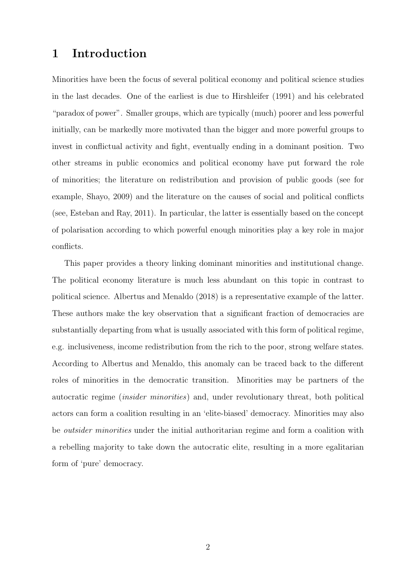## 1 Introduction

Minorities have been the focus of several political economy and political science studies in the last decades. One of the earliest is due to Hirshleifer (1991) and his celebrated "paradox of power". Smaller groups, which are typically (much) poorer and less powerful initially, can be markedly more motivated than the bigger and more powerful groups to invest in conflictual activity and fight, eventually ending in a dominant position. Two other streams in public economics and political economy have put forward the role of minorities; the literature on redistribution and provision of public goods (see for example, Shayo, 2009) and the literature on the causes of social and political conflicts (see, Esteban and Ray, 2011). In particular, the latter is essentially based on the concept of polarisation according to which powerful enough minorities play a key role in major conflicts.

This paper provides a theory linking dominant minorities and institutional change. The political economy literature is much less abundant on this topic in contrast to political science. Albertus and Menaldo (2018) is a representative example of the latter. These authors make the key observation that a significant fraction of democracies are substantially departing from what is usually associated with this form of political regime, e.g. inclusiveness, income redistribution from the rich to the poor, strong welfare states. According to Albertus and Menaldo, this anomaly can be traced back to the different roles of minorities in the democratic transition. Minorities may be partners of the autocratic regime (insider minorities) and, under revolutionary threat, both political actors can form a coalition resulting in an 'elite-biased' democracy. Minorities may also be outsider minorities under the initial authoritarian regime and form a coalition with a rebelling majority to take down the autocratic elite, resulting in a more egalitarian form of 'pure' democracy.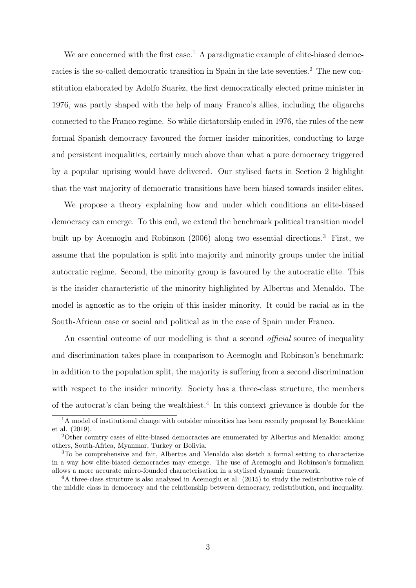We are concerned with the first case.<sup>1</sup> A paradigmatic example of elite-biased democracies is the so-called democratic transition in Spain in the late seventies.<sup>2</sup> The new constitution elaborated by Adolfo Suarèz, the first democratically elected prime minister in 1976, was partly shaped with the help of many Franco's allies, including the oligarchs connected to the Franco regime. So while dictatorship ended in 1976, the rules of the new formal Spanish democracy favoured the former insider minorities, conducting to large and persistent inequalities, certainly much above than what a pure democracy triggered by a popular uprising would have delivered. Our stylised facts in Section 2 highlight that the vast majority of democratic transitions have been biased towards insider elites.

We propose a theory explaining how and under which conditions an elite-biased democracy can emerge. To this end, we extend the benchmark political transition model built up by Acemoglu and Robinson (2006) along two essential directions.<sup>3</sup> First, we assume that the population is split into majority and minority groups under the initial autocratic regime. Second, the minority group is favoured by the autocratic elite. This is the insider characteristic of the minority highlighted by Albertus and Menaldo. The model is agnostic as to the origin of this insider minority. It could be racial as in the South-African case or social and political as in the case of Spain under Franco.

An essential outcome of our modelling is that a second *official* source of inequality and discrimination takes place in comparison to Acemoglu and Robinson's benchmark: in addition to the population split, the majority is suffering from a second discrimination with respect to the insider minority. Society has a three-class structure, the members of the autocrat's clan being the wealthiest.<sup>4</sup> In this context grievance is double for the

<sup>&</sup>lt;sup>1</sup>A model of institutional change with outsider minorities has been recently proposed by Boucekkine et al. (2019).

<sup>2</sup>Other country cases of elite-biased democracies are enumerated by Albertus and Menaldo: among others, South-Africa, Myanmar, Turkey or Bolivia.

<sup>3</sup>To be comprehensive and fair, Albertus and Menaldo also sketch a formal setting to characterize in a way how elite-biased democracies may emerge. The use of Acemoglu and Robinson's formalism allows a more accurate micro-founded characterisation in a stylised dynamic framework.

<sup>4</sup>A three-class structure is also analysed in Acemoglu et al. (2015) to study the redistributive role of the middle class in democracy and the relationship between democracy, redistribution, and inequality.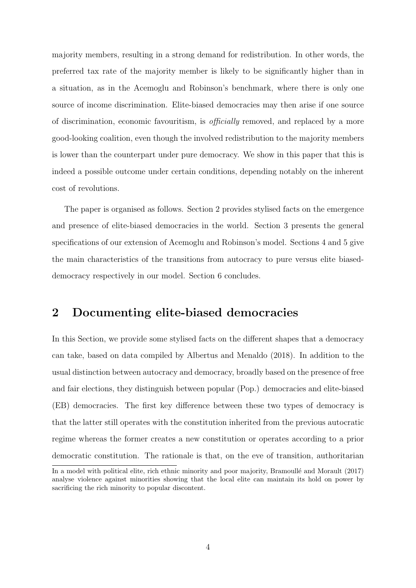majority members, resulting in a strong demand for redistribution. In other words, the preferred tax rate of the majority member is likely to be significantly higher than in a situation, as in the Acemoglu and Robinson's benchmark, where there is only one source of income discrimination. Elite-biased democracies may then arise if one source of discrimination, economic favouritism, is officially removed, and replaced by a more good-looking coalition, even though the involved redistribution to the majority members is lower than the counterpart under pure democracy. We show in this paper that this is indeed a possible outcome under certain conditions, depending notably on the inherent cost of revolutions.

The paper is organised as follows. Section 2 provides stylised facts on the emergence and presence of elite-biased democracies in the world. Section 3 presents the general specifications of our extension of Acemoglu and Robinson's model. Sections 4 and 5 give the main characteristics of the transitions from autocracy to pure versus elite biaseddemocracy respectively in our model. Section 6 concludes.

## 2 Documenting elite-biased democracies

In this Section, we provide some stylised facts on the different shapes that a democracy can take, based on data compiled by Albertus and Menaldo (2018). In addition to the usual distinction between autocracy and democracy, broadly based on the presence of free and fair elections, they distinguish between popular (Pop.) democracies and elite-biased (EB) democracies. The first key difference between these two types of democracy is that the latter still operates with the constitution inherited from the previous autocratic regime whereas the former creates a new constitution or operates according to a prior democratic constitution. The rationale is that, on the eve of transition, authoritarian

In a model with political elite, rich ethnic minority and poor majority, Bramoullé and Morault (2017) analyse violence against minorities showing that the local elite can maintain its hold on power by sacrificing the rich minority to popular discontent.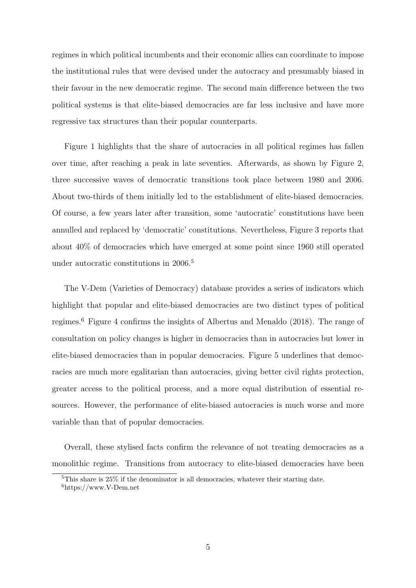regimes in which political incumbents and their economic allies can coordinate to impose the institutional rules that were devised under the autocracy and presumably biased in their favour in the new democratic regime. The second main difference between the two political systems is that elite-biased democracies are far less inclusive and have more regressive tax structures than their popular counterparts.

Figure 1 highlights that the share of autocracies in all political regimes has fallen over time, after reaching a peak in late seventies. Afterwards, as shown by Figure 2, three successive waves of democratic transitions took place between 1980 and 2006. About two-thirds of them initially led to the establishment of elite-biased democracies. Of course, a few years later after transition, some 'autocratic' constitutions have been annulled and replaced by 'democratic' constitutions. Nevertheless, Figure 3 reports that about 40% of democracies which have emerged at some point since 1960 still operated under autocratic constitutions in 2006.<sup>5</sup>

The V-Dem (Varieties of Democracy) database provides a series of indicators which highlight that popular and elite-biased democracies are two distinct types of political regimes.<sup>6</sup> Figure 4 confirms the insights of Albertus and Menaldo (2018). The range of consultation on policy changes is higher in democracies than in autocracies but lower in elite-biased democracies than in popular democracies. Figure 5 underlines that democracies are much more egalitarian than autocracies, giving better civil rights protection, greater access to the political process, and a more equal distribution of essential resources. However, the performance of elite-biased autocracies is much worse and more variable than that of popular democracies.

Overall, these stylised facts confirm the relevance of not treating democracies as a monolithic regime. Transitions from autocracy to elite-biased democracies have been

<sup>5</sup>This share is 25% if the denominator is all democracies, whatever their starting date.

 $6$ https://www.V-Dem.net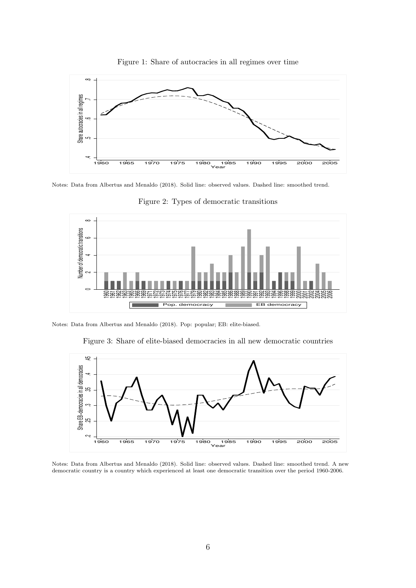

Figure 1: Share of autocracies in all regimes over time

Notes: Data from Albertus and Menaldo (2018). Solid line: observed values. Dashed line: smoothed trend.



Figure 2: Types of democratic transitions

Notes: Data from Albertus and Menaldo (2018). Pop: popular; EB: elite-biased.

Figure 3: Share of elite-biased democracies in all new democratic countries



Notes: Data from Albertus and Menaldo (2018). Solid line: observed values. Dashed line: smoothed trend. A new democratic country is a country which experienced at least one democratic transition over the period 1960-2006.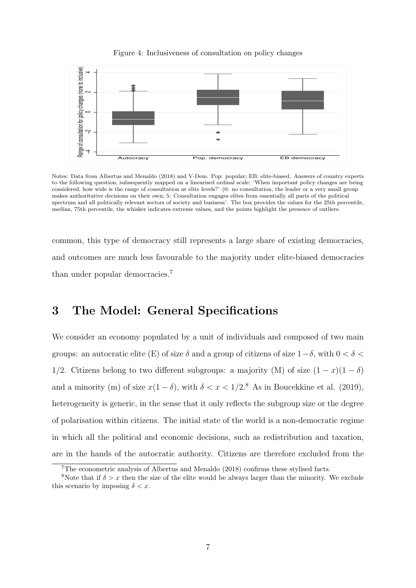



Notes: Data from Albertus and Menaldo (2018) and V-Dem. Pop: popular; EB: elite-biased. Answers of country experts to the following question, subsequently mapped on a linearised ordinal scale: 'When important policy changes are being considered, how wide is the range of consultation at elite levels?' (0: no consultation, the leader or a very small group makes authoritative decisions on their own; 5: Consultation engages elites from essentially all parts of the political spectrum and all politically relevant sectors of society and business'. The box provides the values for the 25th percentile, median, 75th percentile, the whisker indicates extreme values, and the points highlight the presence of outliers.

common, this type of democracy still represents a large share of existing democracies, and outcomes are much less favourable to the majority under elite-biased democracies than under popular democracies.<sup>7</sup>

## 3 The Model: General Specifications

We consider an economy populated by a unit of individuals and composed of two main groups: an autocratic elite (E) of size  $\delta$  and a group of citizens of size  $1-\delta$ , with  $0 < \delta <$ 1/2. Citizens belong to two different subgroups: a majority (M) of size  $(1 - x)(1 - \delta)$ and a minority (m) of size  $x(1 - \delta)$ , with  $\delta < x < 1/2$ .<sup>8</sup> As in Boucekkine et al. (2019), heterogeneity is generic, in the sense that it only reflects the subgroup size or the degree of polarisation within citizens. The initial state of the world is a non-democratic regime in which all the political and economic decisions, such as redistribution and taxation, are in the hands of the autocratic authority. Citizens are therefore excluded from the

<sup>7</sup>The econometric analysis of Albertus and Menaldo (2018) confirms these stylised facts.

<sup>&</sup>lt;sup>8</sup>Note that if  $\delta > x$  then the size of the elite would be always larger than the minority. We exclude this scenario by imposing  $\delta < x$ .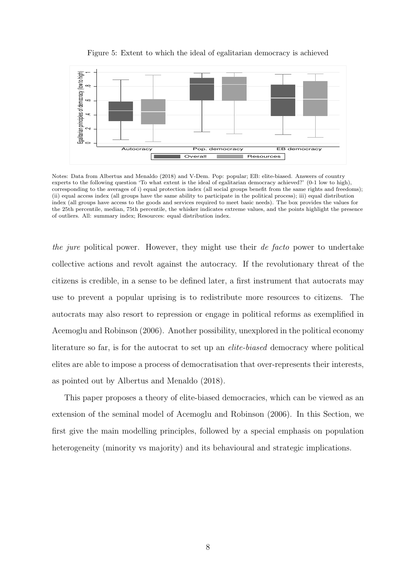

#### Figure 5: Extent to which the ideal of egalitarian democracy is achieved

Notes: Data from Albertus and Menaldo (2018) and V-Dem. Pop: popular; EB: elite-biased. Answers of country experts to the following question 'To what extent is the ideal of egalitarian democracy achieved?' (0-1 low to high), corresponding to the averages of i) equal protection index (all social groups benefit from the same rights and freedoms); (ii) equal access index (all groups have the same ability to participate in the political process); iii) equal distribution index (all groups have access to the goods and services required to meet basic needs). The box provides the values for the 25th percentile, median, 75th percentile, the whisker indicates extreme values, and the points highlight the presence of outliers. All: summary index; Resources: equal distribution index.

the jure political power. However, they might use their de facto power to undertake collective actions and revolt against the autocracy. If the revolutionary threat of the citizens is credible, in a sense to be defined later, a first instrument that autocrats may use to prevent a popular uprising is to redistribute more resources to citizens. The autocrats may also resort to repression or engage in political reforms as exemplified in Acemoglu and Robinson (2006). Another possibility, unexplored in the political economy literature so far, is for the autocrat to set up an elite-biased democracy where political elites are able to impose a process of democratisation that over-represents their interests, as pointed out by Albertus and Menaldo (2018).

This paper proposes a theory of elite-biased democracies, which can be viewed as an extension of the seminal model of Acemoglu and Robinson (2006). In this Section, we first give the main modelling principles, followed by a special emphasis on population heterogeneity (minority vs majority) and its behavioural and strategic implications.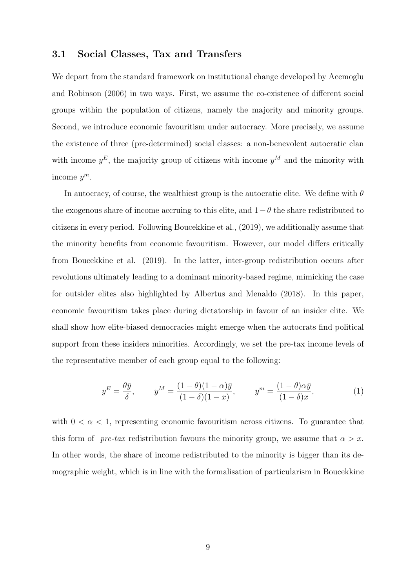### 3.1 Social Classes, Tax and Transfers

We depart from the standard framework on institutional change developed by Acemoglu and Robinson (2006) in two ways. First, we assume the co-existence of different social groups within the population of citizens, namely the majority and minority groups. Second, we introduce economic favouritism under autocracy. More precisely, we assume the existence of three (pre-determined) social classes: a non-benevolent autocratic clan with income  $y<sup>E</sup>$ , the majority group of citizens with income  $y<sup>M</sup>$  and the minority with income  $y^m$ .

In autocracy, of course, the wealthiest group is the autocratic elite. We define with  $\theta$ the exogenous share of income accruing to this elite, and  $1-\theta$  the share redistributed to citizens in every period. Following Boucekkine et al., (2019), we additionally assume that the minority benefits from economic favouritism. However, our model differs critically from Boucekkine et al. (2019). In the latter, inter-group redistribution occurs after revolutions ultimately leading to a dominant minority-based regime, mimicking the case for outsider elites also highlighted by Albertus and Menaldo (2018). In this paper, economic favouritism takes place during dictatorship in favour of an insider elite. We shall show how elite-biased democracies might emerge when the autocrats find political support from these insiders minorities. Accordingly, we set the pre-tax income levels of the representative member of each group equal to the following:

$$
y^{E} = \frac{\theta \bar{y}}{\delta}, \qquad y^{M} = \frac{(1 - \theta)(1 - \alpha)\bar{y}}{(1 - \delta)(1 - x)}, \qquad y^{m} = \frac{(1 - \theta)\alpha\bar{y}}{(1 - \delta)x}, \tag{1}
$$

with  $0 < \alpha < 1$ , representing economic favouritism across citizens. To guarantee that this form of pre-tax redistribution favours the minority group, we assume that  $\alpha > x$ . In other words, the share of income redistributed to the minority is bigger than its demographic weight, which is in line with the formalisation of particularism in Boucekkine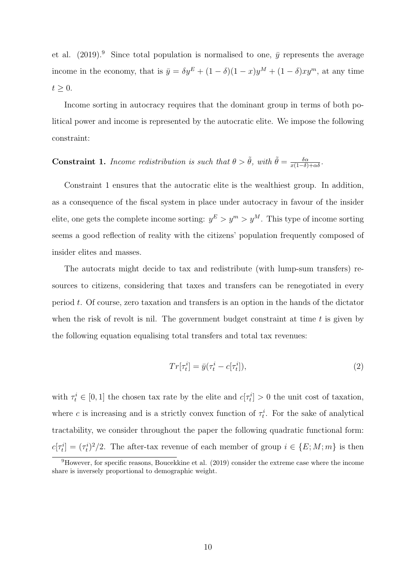et al. (2019).<sup>9</sup> Since total population is normalised to one,  $\bar{y}$  represents the average income in the economy, that is  $\bar{y} = \delta y^E + (1 - \delta)(1 - x)y^M + (1 - \delta)xy^m$ , at any time  $t \geq 0$ .

Income sorting in autocracy requires that the dominant group in terms of both political power and income is represented by the autocratic elite. We impose the following constraint:

## **Constraint 1.** Income redistribution is such that  $\theta > \tilde{\theta}$ , with  $\tilde{\theta} = \frac{\delta \alpha}{x(1-\delta)+\alpha \delta}$ .

Constraint 1 ensures that the autocratic elite is the wealthiest group. In addition, as a consequence of the fiscal system in place under autocracy in favour of the insider elite, one gets the complete income sorting:  $y^E > y^m > y^M$ . This type of income sorting seems a good reflection of reality with the citizens' population frequently composed of insider elites and masses.

The autocrats might decide to tax and redistribute (with lump-sum transfers) resources to citizens, considering that taxes and transfers can be renegotiated in every period  $t$ . Of course, zero taxation and transfers is an option in the hands of the dictator when the risk of revolt is nil. The government budget constraint at time  $t$  is given by the following equation equalising total transfers and total tax revenues:

$$
Tr[\tau_t^i] = \bar{y}(\tau_t^i - c[\tau_t^i]),\tag{2}
$$

with  $\tau_t^i \in [0,1]$  the chosen tax rate by the elite and  $c[\tau_t^i] > 0$  the unit cost of taxation, where c is increasing and is a strictly convex function of  $\tau_t^i$ . For the sake of analytical tractability, we consider throughout the paper the following quadratic functional form:  $c[\tau_t^i] = (\tau_t^i)^2/2$ . The after-tax revenue of each member of group  $i \in \{E; M; m\}$  is then

<sup>9</sup>However, for specific reasons, Boucekkine et al. (2019) consider the extreme case where the income share is inversely proportional to demographic weight.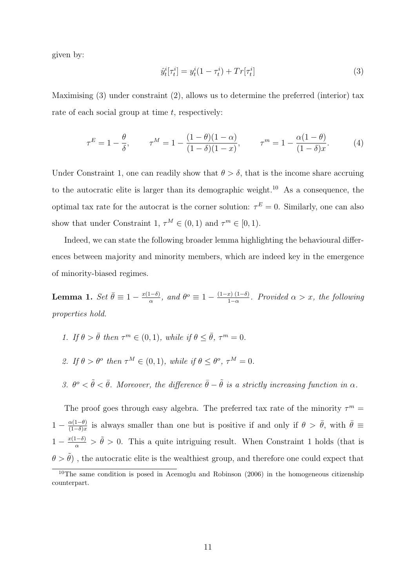given by:

$$
\hat{y}_t^i[\tau_t^i] = y_t^i(1 - \tau_t^i) + Tr[\tau_t^i]
$$
\n(3)

Maximising (3) under constraint (2), allows us to determine the preferred (interior) tax rate of each social group at time  $t$ , respectively:

$$
\tau^{E} = 1 - \frac{\theta}{\delta}, \qquad \tau^{M} = 1 - \frac{(1 - \theta)(1 - \alpha)}{(1 - \delta)(1 - x)}, \qquad \tau^{m} = 1 - \frac{\alpha(1 - \theta)}{(1 - \delta)x}.
$$
 (4)

Under Constraint 1, one can readily show that  $\theta > \delta$ , that is the income share accruing to the autocratic elite is larger than its demographic weight.<sup>10</sup> As a consequence, the optimal tax rate for the autocrat is the corner solution:  $\tau^E = 0$ . Similarly, one can also show that under Constraint 1,  $\tau^M \in (0,1)$  and  $\tau^m \in [0,1)$ .

Indeed, we can state the following broader lemma highlighting the behavioural differences between majority and minority members, which are indeed key in the emergence of minority-biased regimes.

Lemma 1.  $Set \space \bar{\theta} \equiv 1 - \frac{x(1-\delta)}{\alpha}$  $\frac{(1-\delta)}{\alpha}$ , and  $\theta^o \equiv 1 - \frac{(1-x)(1-\delta)}{1-\alpha}$  $\frac{x}{1-\alpha}$ . Provided  $\alpha > x$ , the following properties hold.

- 1. If  $\theta > \bar{\theta}$  then  $\tau^m \in (0,1)$ , while if  $\theta \leq \bar{\theta}$ ,  $\tau^m = 0$ .
- 2. If  $\theta > \theta^o$  then  $\tau^M \in (0,1)$ , while if  $\theta \leq \theta^o$ ,  $\tau^M = 0$ .
- 3.  $\theta^o < \tilde{\theta} < \bar{\theta}$ . Moreover, the difference  $\bar{\theta} \tilde{\theta}$  is a strictly increasing function in  $\alpha$ .

The proof goes through easy algebra. The preferred tax rate of the minority  $\tau^m =$  $1 - \frac{\alpha(1-\theta)}{(1-\delta)x}$  $\frac{\alpha(1-\theta)}{(1-\delta)x}$  is always smaller than one but is positive if and only if  $\theta > \bar{\theta}$ , with  $\bar{\theta} \equiv$  $1 - \frac{x(1-\delta)}{\alpha} > \tilde{\theta} > 0$ . This a quite intriguing result. When Constraint 1 holds (that is  $\theta > \tilde{\theta})$  , the autocratic elite is the wealthiest group, and therefore one could expect that

 $10$ The same condition is posed in Acemoglu and Robinson (2006) in the homogeneous citizenship counterpart.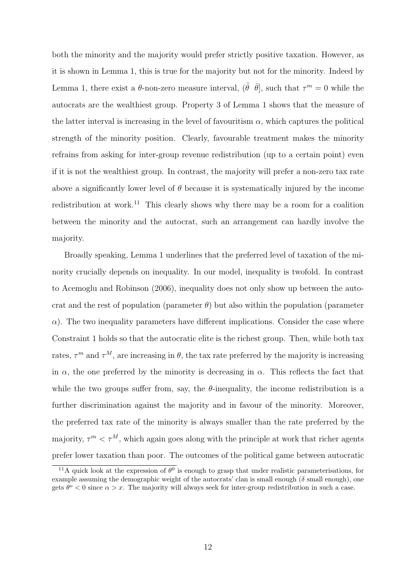both the minority and the majority would prefer strictly positive taxation. However, as it is shown in Lemma 1, this is true for the majority but not for the minority. Indeed by Lemma 1, there exist a  $\theta$ -non-zero measure interval,  $(\tilde{\theta} \ \bar{\theta}]$ , such that  $\tau^m = 0$  while the autocrats are the wealthiest group. Property 3 of Lemma 1 shows that the measure of the latter interval is increasing in the level of favouritism  $\alpha$ , which captures the political strength of the minority position. Clearly, favourable treatment makes the minority refrains from asking for inter-group revenue redistribution (up to a certain point) even if it is not the wealthiest group. In contrast, the majority will prefer a non-zero tax rate above a significantly lower level of  $\theta$  because it is systematically injured by the income redistribution at work.<sup>11</sup> This clearly shows why there may be a room for a coalition between the minority and the autocrat, such an arrangement can hardly involve the majority.

Broadly speaking, Lemma 1 underlines that the preferred level of taxation of the minority crucially depends on inequality. In our model, inequality is twofold. In contrast to Acemoglu and Robinson (2006), inequality does not only show up between the autocrat and the rest of population (parameter  $\theta$ ) but also within the population (parameter  $\alpha$ ). The two inequality parameters have different implications. Consider the case where Constraint 1 holds so that the autocratic elite is the richest group. Then, while both tax rates,  $\tau^m$  and  $\tau^M$ , are increasing in  $\theta$ , the tax rate preferred by the majority is increasing in  $\alpha$ , the one preferred by the minority is decreasing in  $\alpha$ . This reflects the fact that while the two groups suffer from, say, the  $\theta$ -inequality, the income redistribution is a further discrimination against the majority and in favour of the minority. Moreover, the preferred tax rate of the minority is always smaller than the rate preferred by the majority,  $\tau^m < \tau^M$ , which again goes along with the principle at work that richer agents prefer lower taxation than poor. The outcomes of the political game between autocratic

<sup>&</sup>lt;sup>11</sup>A quick look at the expression of  $\theta^0$  is enough to grasp that under realistic parameterisations, for example assuming the demographic weight of the autocrats' clan is small enough ( $\delta$  small enough), one gets  $\theta^o < 0$  since  $\alpha > x$ . The majority will always seek for inter-group redistribution in such a case.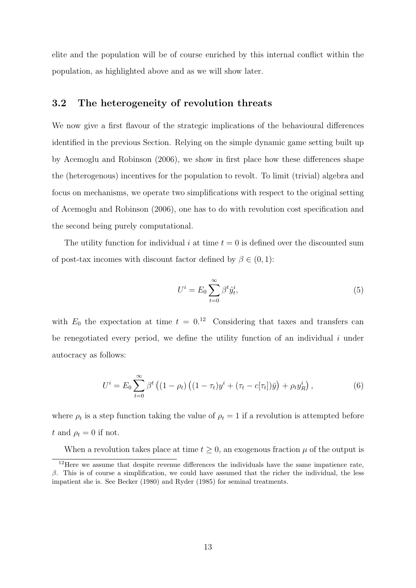elite and the population will be of course enriched by this internal conflict within the population, as highlighted above and as we will show later.

### 3.2 The heterogeneity of revolution threats

We now give a first flavour of the strategic implications of the behavioural differences identified in the previous Section. Relying on the simple dynamic game setting built up by Acemoglu and Robinson (2006), we show in first place how these differences shape the (heterogenous) incentives for the population to revolt. To limit (trivial) algebra and focus on mechanisms, we operate two simplifications with respect to the original setting of Acemoglu and Robinson (2006), one has to do with revolution cost specification and the second being purely computational.

The utility function for individual i at time  $t = 0$  is defined over the discounted sum of post-tax incomes with discount factor defined by  $\beta \in (0,1)$ :

$$
U^i = E_0 \sum_{t=0}^{\infty} \beta^t \hat{y}_t^i,\tag{5}
$$

with  $E_0$  the expectation at time  $t = 0.12$  Considering that taxes and transfers can be renegotiated every period, we define the utility function of an individual  $i$  under autocracy as follows:

$$
U^{i} = E_{0} \sum_{t=0}^{\infty} \beta^{t} \left( (1 - \rho_{t}) \left( (1 - \tau_{t}) y^{i} + (\tau_{t} - c[\tau_{t}]) \bar{y} \right) + \rho_{t} y_{R}^{i} \right), \tag{6}
$$

where  $\rho_t$  is a step function taking the value of  $\rho_t = 1$  if a revolution is attempted before t and  $\rho_t = 0$  if not.

When a revolution takes place at time  $t \geq 0$ , an exogenous fraction  $\mu$  of the output is

<sup>&</sup>lt;sup>12</sup>Here we assume that despite revenue differences the individuals have the same impatience rate,  $β$ . This is of course a simplification, we could have assumed that the richer the individual, the less impatient she is. See Becker (1980) and Ryder (1985) for seminal treatments.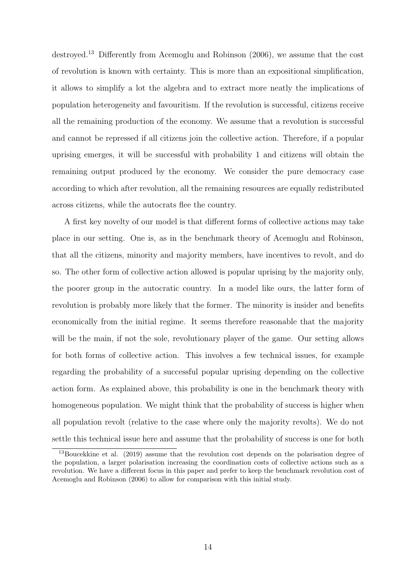destroyed.<sup>13</sup> Differently from Acemoglu and Robinson (2006), we assume that the cost of revolution is known with certainty. This is more than an expositional simplification, it allows to simplify a lot the algebra and to extract more neatly the implications of population heterogeneity and favouritism. If the revolution is successful, citizens receive all the remaining production of the economy. We assume that a revolution is successful and cannot be repressed if all citizens join the collective action. Therefore, if a popular uprising emerges, it will be successful with probability 1 and citizens will obtain the remaining output produced by the economy. We consider the pure democracy case according to which after revolution, all the remaining resources are equally redistributed across citizens, while the autocrats flee the country.

A first key novelty of our model is that different forms of collective actions may take place in our setting. One is, as in the benchmark theory of Acemoglu and Robinson, that all the citizens, minority and majority members, have incentives to revolt, and do so. The other form of collective action allowed is popular uprising by the majority only, the poorer group in the autocratic country. In a model like ours, the latter form of revolution is probably more likely that the former. The minority is insider and benefits economically from the initial regime. It seems therefore reasonable that the majority will be the main, if not the sole, revolutionary player of the game. Our setting allows for both forms of collective action. This involves a few technical issues, for example regarding the probability of a successful popular uprising depending on the collective action form. As explained above, this probability is one in the benchmark theory with homogeneous population. We might think that the probability of success is higher when all population revolt (relative to the case where only the majority revolts). We do not settle this technical issue here and assume that the probability of success is one for both

<sup>&</sup>lt;sup>13</sup>Boucekkine et al. (2019) assume that the revolution cost depends on the polarisation degree of the population, a larger polarisation increasing the coordination costs of collective actions such as a revolution. We have a different focus in this paper and prefer to keep the benchmark revolution cost of Acemoglu and Robinson (2006) to allow for comparison with this initial study.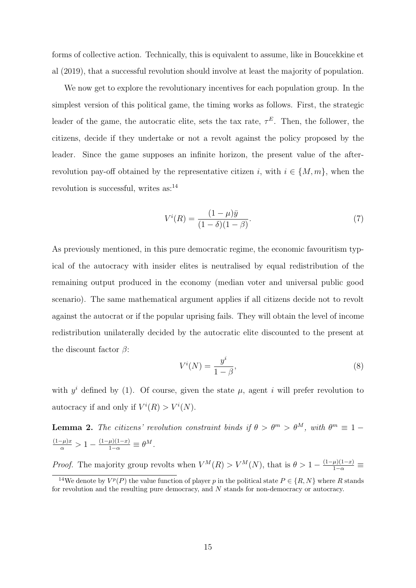forms of collective action. Technically, this is equivalent to assume, like in Boucekkine et al (2019), that a successful revolution should involve at least the majority of population.

We now get to explore the revolutionary incentives for each population group. In the simplest version of this political game, the timing works as follows. First, the strategic leader of the game, the autocratic elite, sets the tax rate,  $\tau^E$ . Then, the follower, the citizens, decide if they undertake or not a revolt against the policy proposed by the leader. Since the game supposes an infinite horizon, the present value of the afterrevolution pay-off obtained by the representative citizen i, with  $i \in \{M, m\}$ , when the revolution is successful, writes as:<sup>14</sup>

$$
V^{i}(R) = \frac{(1-\mu)\bar{y}}{(1-\delta)(1-\beta)}.\tag{7}
$$

As previously mentioned, in this pure democratic regime, the economic favouritism typical of the autocracy with insider elites is neutralised by equal redistribution of the remaining output produced in the economy (median voter and universal public good scenario). The same mathematical argument applies if all citizens decide not to revolt against the autocrat or if the popular uprising fails. They will obtain the level of income redistribution unilaterally decided by the autocratic elite discounted to the present at the discount factor  $\beta$ :

$$
V^i(N) = \frac{y^i}{1 - \beta},\tag{8}
$$

with  $y^i$  defined by (1). Of course, given the state  $\mu$ , agent i will prefer revolution to autocracy if and only if  $V^i(R) > V^i(N)$ .

**Lemma 2.** The citizens' revolution constraint binds if  $\theta > \theta^m > \theta^M$ , with  $\theta^m \equiv 1 - \theta^M$  $\frac{(1-\mu)x}{\alpha} > 1 - \frac{(1-\mu)(1-x)}{1-\alpha} \equiv \theta^M.$ 

*Proof.* The majority group revolts when  $V^M(R) > V^M(N)$ , that is  $\theta > 1 - \frac{(1-\mu)(1-x)}{1-\alpha} \equiv$ 

<sup>&</sup>lt;sup>14</sup>We denote by  $V^p(P)$  the value function of player p in the political state  $P \in \{R, N\}$  where R stands for revolution and the resulting pure democracy, and N stands for non-democracy or autocracy.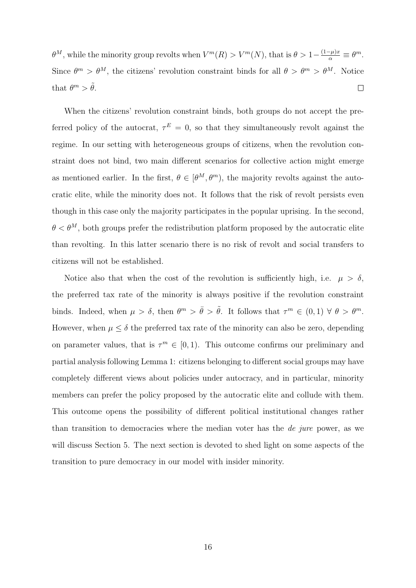$\theta^M$ , while the minority group revolts when  $V^m(R) > V^m(N)$ , that is  $\theta > 1 - \frac{(1-\mu)x}{\alpha} \equiv \theta^m$ . Since  $\theta^m > \theta^M$ , the citizens' revolution constraint binds for all  $\theta > \theta^m > \theta^M$ . Notice that  $\theta^m > \tilde{\theta}$ .  $\Box$ 

When the citizens' revolution constraint binds, both groups do not accept the preferred policy of the autocrat,  $\tau^E = 0$ , so that they simultaneously revolt against the regime. In our setting with heterogeneous groups of citizens, when the revolution constraint does not bind, two main different scenarios for collective action might emerge as mentioned earlier. In the first,  $\theta \in [\theta^M, \theta^m)$ , the majority revolts against the autocratic elite, while the minority does not. It follows that the risk of revolt persists even though in this case only the majority participates in the popular uprising. In the second,  $\theta < \theta^M$ , both groups prefer the redistribution platform proposed by the autocratic elite than revolting. In this latter scenario there is no risk of revolt and social transfers to citizens will not be established.

Notice also that when the cost of the revolution is sufficiently high, i.e.  $\mu > \delta$ , the preferred tax rate of the minority is always positive if the revolution constraint binds. Indeed, when  $\mu > \delta$ , then  $\theta^m > \bar{\theta} > \tilde{\theta}$ . It follows that  $\tau^m \in (0,1) \ \forall \ \theta > \theta^m$ . However, when  $\mu \leq \delta$  the preferred tax rate of the minority can also be zero, depending on parameter values, that is  $\tau^m \in [0,1)$ . This outcome confirms our preliminary and partial analysis following Lemma 1: citizens belonging to different social groups may have completely different views about policies under autocracy, and in particular, minority members can prefer the policy proposed by the autocratic elite and collude with them. This outcome opens the possibility of different political institutional changes rather than transition to democracies where the median voter has the de jure power, as we will discuss Section 5. The next section is devoted to shed light on some aspects of the transition to pure democracy in our model with insider minority.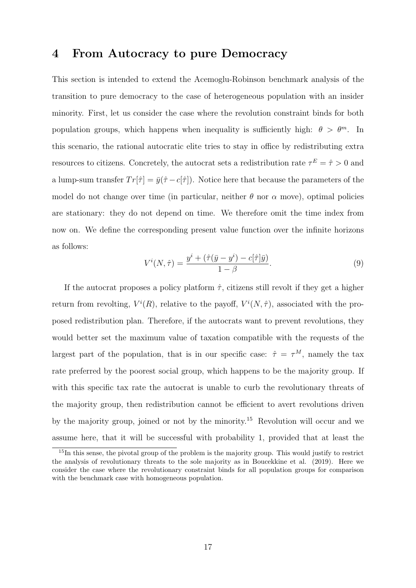## 4 From Autocracy to pure Democracy

This section is intended to extend the Acemoglu-Robinson benchmark analysis of the transition to pure democracy to the case of heterogeneous population with an insider minority. First, let us consider the case where the revolution constraint binds for both population groups, which happens when inequality is sufficiently high:  $\theta > \theta^m$ . In this scenario, the rational autocratic elite tries to stay in office by redistributing extra resources to citizens. Concretely, the autocrat sets a redistribution rate  $\tau^E = \hat{\tau} > 0$  and a lump-sum transfer  $Tr[\hat{\tau}] = \bar{y}(\hat{\tau} - c[\hat{\tau}])$ . Notice here that because the parameters of the model do not change over time (in particular, neither  $\theta$  nor  $\alpha$  move), optimal policies are stationary: they do not depend on time. We therefore omit the time index from now on. We define the corresponding present value function over the infinite horizons as follows:

$$
V^{i}(N,\hat{\tau}) = \frac{y^{i} + (\hat{\tau}(\bar{y} - y^{i}) - c[\hat{\tau}]\bar{y})}{1 - \beta}.
$$
\n(9)

If the autocrat proposes a policy platform  $\hat{\tau}$ , citizens still revolt if they get a higher return from revolting,  $V^{i}(R)$ , relative to the payoff,  $V^{i}(N, \hat{\tau})$ , associated with the proposed redistribution plan. Therefore, if the autocrats want to prevent revolutions, they would better set the maximum value of taxation compatible with the requests of the largest part of the population, that is in our specific case:  $\hat{\tau} = \tau^M$ , namely the tax rate preferred by the poorest social group, which happens to be the majority group. If with this specific tax rate the autocrat is unable to curb the revolutionary threats of the majority group, then redistribution cannot be efficient to avert revolutions driven by the majority group, joined or not by the minority.<sup>15</sup> Revolution will occur and we assume here, that it will be successful with probability 1, provided that at least the

<sup>&</sup>lt;sup>15</sup>In this sense, the pivotal group of the problem is the majority group. This would justify to restrict the analysis of revolutionary threats to the sole majority as in Boucekkine et al. (2019). Here we consider the case where the revolutionary constraint binds for all population groups for comparison with the benchmark case with homogeneous population.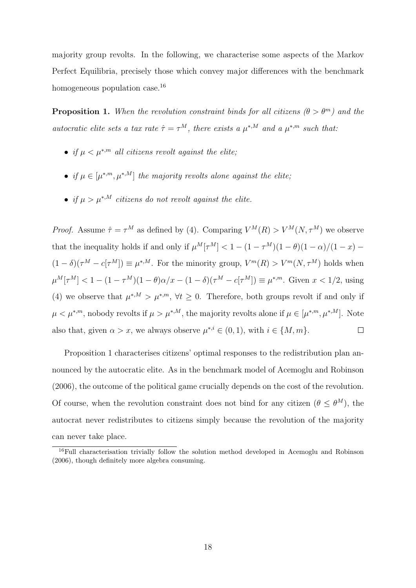majority group revolts. In the following, we characterise some aspects of the Markov Perfect Equilibria, precisely those which convey major differences with the benchmark homogeneous population case.<sup>16</sup>

**Proposition 1.** When the revolution constraint binds for all citizens  $(\theta > \theta^m)$  and the autocratic elite sets a tax rate  $\hat{\tau} = \tau^M$ , there exists a  $\mu^{*,M}$  and a  $\mu^{*,m}$  such that:

- if  $\mu < \mu^{*,m}$  all citizens revolt against the elite;
- if  $\mu \in [\mu^{*,m}, \mu^{*,M}]$  the majority revolts alone against the elite;
- if  $\mu > \mu^{*,M}$  citizens do not revolt against the elite.

*Proof.* Assume  $\hat{\tau} = \tau^M$  as defined by (4). Comparing  $V^M(R) > V^M(N, \tau^M)$  we observe that the inequality holds if and only if  $\mu^M[\tau^M] < 1 - (1 - \tau^M)(1 - \theta)(1 - \alpha)/(1 - x)$  $(1-\delta)(\tau^M - c[\tau^M]) \equiv \mu^{*,M}$ . For the minority group,  $V^m(R) > V^m(N, \tau^M)$  holds when  $\mu^M[\tau^M] < 1 - (1 - \tau^M)(1 - \theta)\alpha/x - (1 - \delta)(\tau^M - c[\tau^M]) \equiv \mu^{*,m}$ . Given  $x < 1/2$ , using (4) we observe that  $\mu^{*,M} > \mu^{*,m}, \forall t \geq 0$ . Therefore, both groups revolt if and only if  $\mu < \mu^{*,m}$ , nobody revolts if  $\mu > \mu^{*,M}$ , the majority revolts alone if  $\mu \in [\mu^{*,m}, \mu^{*,M}]$ . Note also that, given  $\alpha > x$ , we always observe  $\mu^{*,i} \in (0,1)$ , with  $i \in \{M,m\}$ .  $\Box$ 

Proposition 1 characterises citizens' optimal responses to the redistribution plan announced by the autocratic elite. As in the benchmark model of Acemoglu and Robinson (2006), the outcome of the political game crucially depends on the cost of the revolution. Of course, when the revolution constraint does not bind for any citizen  $(\theta \leq \theta^{M})$ , the autocrat never redistributes to citizens simply because the revolution of the majority can never take place.

<sup>16</sup>Full characterisation trivially follow the solution method developed in Acemoglu and Robinson (2006), though definitely more algebra consuming.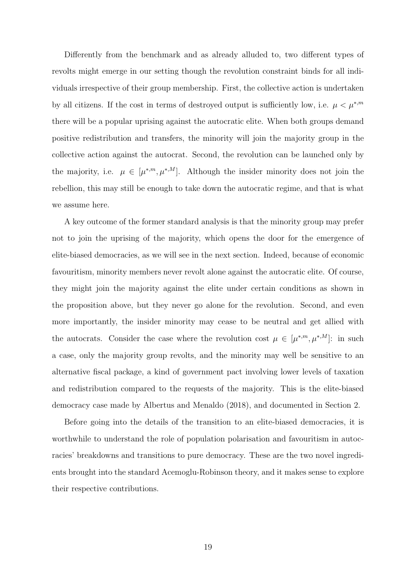Differently from the benchmark and as already alluded to, two different types of revolts might emerge in our setting though the revolution constraint binds for all individuals irrespective of their group membership. First, the collective action is undertaken by all citizens. If the cost in terms of destroyed output is sufficiently low, i.e.  $\mu < \mu^{*,m}$ there will be a popular uprising against the autocratic elite. When both groups demand positive redistribution and transfers, the minority will join the majority group in the collective action against the autocrat. Second, the revolution can be launched only by the majority, i.e.  $\mu \in [\mu^{*,m}, \mu^{*,M}]$ . Although the insider minority does not join the rebellion, this may still be enough to take down the autocratic regime, and that is what we assume here.

A key outcome of the former standard analysis is that the minority group may prefer not to join the uprising of the majority, which opens the door for the emergence of elite-biased democracies, as we will see in the next section. Indeed, because of economic favouritism, minority members never revolt alone against the autocratic elite. Of course, they might join the majority against the elite under certain conditions as shown in the proposition above, but they never go alone for the revolution. Second, and even more importantly, the insider minority may cease to be neutral and get allied with the autocrats. Consider the case where the revolution cost  $\mu \in [\mu^{*,m}, \mu^{*,M}]$ : in such a case, only the majority group revolts, and the minority may well be sensitive to an alternative fiscal package, a kind of government pact involving lower levels of taxation and redistribution compared to the requests of the majority. This is the elite-biased democracy case made by Albertus and Menaldo (2018), and documented in Section 2.

Before going into the details of the transition to an elite-biased democracies, it is worthwhile to understand the role of population polarisation and favouritism in autocracies' breakdowns and transitions to pure democracy. These are the two novel ingredients brought into the standard Acemoglu-Robinson theory, and it makes sense to explore their respective contributions.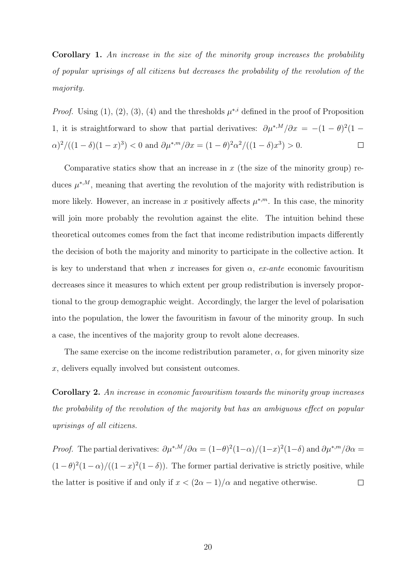Corollary 1. An increase in the size of the minority group increases the probability of popular uprisings of all citizens but decreases the probability of the revolution of the majority.

*Proof.* Using (1), (2), (3), (4) and the thresholds  $\mu^{*,i}$  defined in the proof of Proposition 1, it is straightforward to show that partial derivatives:  $\partial \mu^{*,M}/\partial x = -(1-\theta)^2(1-\theta)^2$  $\alpha$ )<sup>2</sup>/((1 – δ)(1 – x)<sup>3</sup>) < 0 and  $\partial \mu^{*,m}/\partial x = (1 - \theta)^2 \alpha^2 / ((1 - \delta)x^3) > 0$ .  $\Box$ 

Comparative statics show that an increase in  $x$  (the size of the minority group) reduces  $\mu^{*,M}$ , meaning that averting the revolution of the majority with redistribution is more likely. However, an increase in x positively affects  $\mu^{*,m}$ . In this case, the minority will join more probably the revolution against the elite. The intuition behind these theoretical outcomes comes from the fact that income redistribution impacts differently the decision of both the majority and minority to participate in the collective action. It is key to understand that when x increases for given  $\alpha$ , ex-ante economic favouritism decreases since it measures to which extent per group redistribution is inversely proportional to the group demographic weight. Accordingly, the larger the level of polarisation into the population, the lower the favouritism in favour of the minority group. In such a case, the incentives of the majority group to revolt alone decreases.

The same exercise on the income redistribution parameter,  $\alpha$ , for given minority size x, delivers equally involved but consistent outcomes.

Corollary 2. An increase in economic favouritism towards the minority group increases the probability of the revolution of the majority but has an ambiguous effect on popular uprisings of all citizens.

*Proof.* The partial derivatives:  $\partial \mu^{*,M}/\partial \alpha = (1-\theta)^2(1-\alpha)/(1-x)^2(1-\delta)$  and  $\partial \mu^{*,m}/\partial \alpha =$  $(1-\theta)^2(1-\alpha)/((1-x)^2(1-\delta))$ . The former partial derivative is strictly positive, while the latter is positive if and only if  $x < (2\alpha - 1)/\alpha$  and negative otherwise.  $\Box$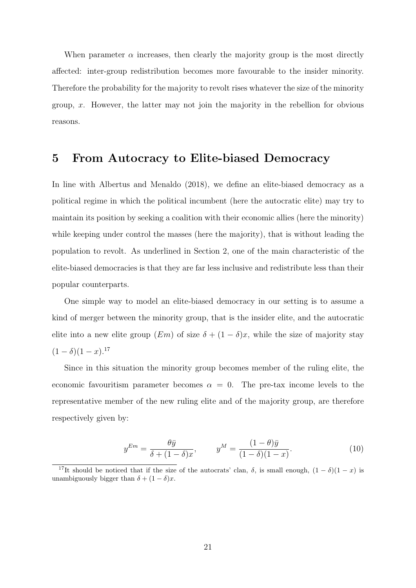When parameter  $\alpha$  increases, then clearly the majority group is the most directly affected: inter-group redistribution becomes more favourable to the insider minority. Therefore the probability for the majority to revolt rises whatever the size of the minority group,  $x$ . However, the latter may not join the majority in the rebellion for obvious reasons.

### 5 From Autocracy to Elite-biased Democracy

In line with Albertus and Menaldo (2018), we define an elite-biased democracy as a political regime in which the political incumbent (here the autocratic elite) may try to maintain its position by seeking a coalition with their economic allies (here the minority) while keeping under control the masses (here the majority), that is without leading the population to revolt. As underlined in Section 2, one of the main characteristic of the elite-biased democracies is that they are far less inclusive and redistribute less than their popular counterparts.

One simple way to model an elite-biased democracy in our setting is to assume a kind of merger between the minority group, that is the insider elite, and the autocratic elite into a new elite group  $(Em)$  of size  $\delta + (1 - \delta)x$ , while the size of majority stay  $(1 - \delta)(1 - x).^{17}$ 

Since in this situation the minority group becomes member of the ruling elite, the economic favouritism parameter becomes  $\alpha = 0$ . The pre-tax income levels to the representative member of the new ruling elite and of the majority group, are therefore respectively given by:

$$
y^{Em} = \frac{\theta \bar{y}}{\delta + (1 - \delta)x}, \qquad y^M = \frac{(1 - \theta)\bar{y}}{(1 - \delta)(1 - x)}.
$$
\n(10)

<sup>&</sup>lt;sup>17</sup>It should be noticed that if the size of the autocrats' clan,  $\delta$ , is small enough,  $(1 - \delta)(1 - x)$  is unambiguously bigger than  $\delta + (1 - \delta)x$ .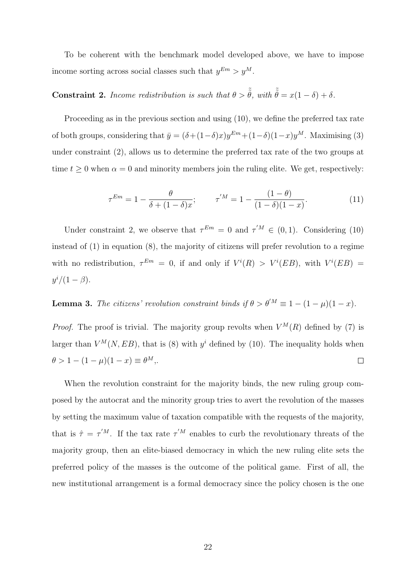To be coherent with the benchmark model developed above, we have to impose income sorting across social classes such that  $y^{Em} > y^{M}$ .

# **Constraint 2.** Income redistribution is such that  $\theta > \tilde{\theta}$ , with  $\tilde{\theta} = x(1 - \delta) + \delta$ .

Proceeding as in the previous section and using (10), we define the preferred tax rate of both groups, considering that  $\bar{y} = (\delta + (1-\delta)x)y^{Em} + (1-\delta)(1-x)y^{M}$ . Maximising (3) under constraint (2), allows us to determine the preferred tax rate of the two groups at time  $t \geq 0$  when  $\alpha = 0$  and minority members join the ruling elite. We get, respectively:

$$
\tau^{Em} = 1 - \frac{\theta}{\delta + (1 - \delta)x}; \qquad \tau^{'M} = 1 - \frac{(1 - \theta)}{(1 - \delta)(1 - x)}.
$$
(11)

Under constraint 2, we observe that  $\tau^{Em} = 0$  and  $\tau^{M} \in (0, 1)$ . Considering (10) instead of (1) in equation (8), the majority of citizens will prefer revolution to a regime with no redistribution,  $\tau^{Em} = 0$ , if and only if  $V^i(R) > V^i(EB)$ , with  $V^i(EB) =$  $y^i/(1-\beta).$ 

**Lemma 3.** The citizens' revolution constraint binds if  $\theta > \theta^{'M} \equiv 1 - (1 - \mu)(1 - x)$ .

*Proof.* The proof is trivial. The majority group revolts when  $V^M(R)$  defined by (7) is larger than  $V^M(N, EB)$ , that is (8) with  $y^i$  defined by (10). The inequality holds when  $\theta > 1 - (1 - \mu)(1 - x) \equiv \theta^M$  $\Box$ 

When the revolution constraint for the majority binds, the new ruling group composed by the autocrat and the minority group tries to avert the revolution of the masses by setting the maximum value of taxation compatible with the requests of the majority, that is  $\hat{\tau} = \tau^{'M}$ . If the tax rate  $\tau^{'M}$  enables to curb the revolutionary threats of the majority group, then an elite-biased democracy in which the new ruling elite sets the preferred policy of the masses is the outcome of the political game. First of all, the new institutional arrangement is a formal democracy since the policy chosen is the one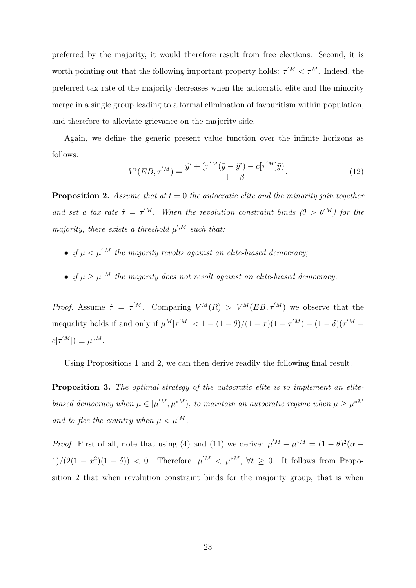preferred by the majority, it would therefore result from free elections. Second, it is worth pointing out that the following important property holds:  $\tau^{'M} < \tau^M$ . Indeed, the preferred tax rate of the majority decreases when the autocratic elite and the minority merge in a single group leading to a formal elimination of favouritism within population, and therefore to alleviate grievance on the majority side.

Again, we define the generic present value function over the infinite horizons as follows:

$$
V^{i}(EB, \tau^{'M}) = \frac{\hat{y}^{i} + (\tau^{'M}(\bar{y} - \hat{y}^{i}) - c[\tau^{'M}]\bar{y})}{1 - \beta}.
$$
\n(12)

**Proposition 2.** Assume that at  $t = 0$  the autocratic elite and the minority join together and set a tax rate  $\hat{\tau} = \tau^{'M}$ . When the revolution constraint binds  $(\theta > \theta^{'M})$  for the majority, there exists a threshold  $\mu^{',M}$  such that:

- if  $\mu < \mu^{',M}$  the majority revolts against an elite-biased democracy;
- if  $\mu \geq \mu^{',M}$  the majority does not revolt against an elite-biased democracy.

*Proof.* Assume  $\hat{\tau} = \tau^{'M}$ . Comparing  $V^M(R) > V^M(EB, \tau^{'M})$  we observe that the inequality holds if and only if  $\mu^M[\tau'^M] < 1 - (1 - \theta)/(1 - x)(1 - \tau'^M) - (1 - \delta)(\tau'^M c[\tau^{'M}]) \equiv \mu^{',M}.$  $\Box$ 

Using Propositions 1 and 2, we can then derive readily the following final result.

Proposition 3. The optimal strategy of the autocratic elite is to implement an elitebiased democracy when  $\mu \in [\mu^{'M}, \mu^{*M})$ , to maintain an autocratic regime when  $\mu \geq \mu^{*M}$ and to flee the country when  $\mu < \mu^{'M}$ .

*Proof.* First of all, note that using (4) and (11) we derive:  $\mu^M - \mu^{*M} = (1 - \theta)^2 (\alpha 1)/(2(1-x^2)(1-\delta)) < 0$ . Therefore,  $\mu^M \leq \mu^{*M}$ ,  $\forall t \geq 0$ . It follows from Proposition 2 that when revolution constraint binds for the majority group, that is when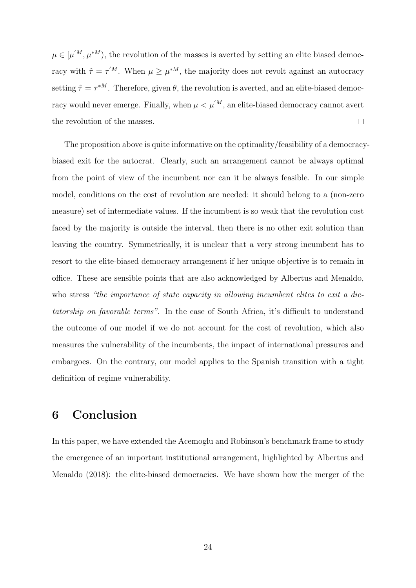$\mu \in [\mu'^M, \mu^{*M})$ , the revolution of the masses is averted by setting an elite biased democracy with  $\hat{\tau} = \tau^{'M}$ . When  $\mu \geq \mu^{*M}$ , the majority does not revolt against an autocracy setting  $\hat{\tau} = \tau^{*M}$ . Therefore, given  $\theta$ , the revolution is averted, and an elite-biased democracy would never emerge. Finally, when  $\mu < \mu^{'M}$ , an elite-biased democracy cannot avert the revolution of the masses.  $\Box$ 

The proposition above is quite informative on the optimality/feasibility of a democracybiased exit for the autocrat. Clearly, such an arrangement cannot be always optimal from the point of view of the incumbent nor can it be always feasible. In our simple model, conditions on the cost of revolution are needed: it should belong to a (non-zero measure) set of intermediate values. If the incumbent is so weak that the revolution cost faced by the majority is outside the interval, then there is no other exit solution than leaving the country. Symmetrically, it is unclear that a very strong incumbent has to resort to the elite-biased democracy arrangement if her unique objective is to remain in office. These are sensible points that are also acknowledged by Albertus and Menaldo, who stress "the importance of state capacity in allowing incumbent elites to exit a dictatorship on favorable terms". In the case of South Africa, it's difficult to understand the outcome of our model if we do not account for the cost of revolution, which also measures the vulnerability of the incumbents, the impact of international pressures and embargoes. On the contrary, our model applies to the Spanish transition with a tight definition of regime vulnerability.

## 6 Conclusion

In this paper, we have extended the Acemoglu and Robinson's benchmark frame to study the emergence of an important institutional arrangement, highlighted by Albertus and Menaldo (2018): the elite-biased democracies. We have shown how the merger of the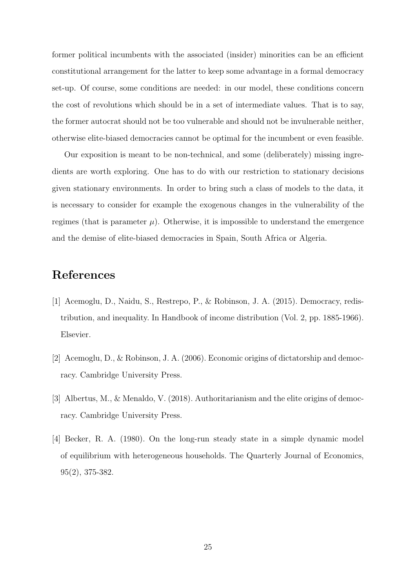former political incumbents with the associated (insider) minorities can be an efficient constitutional arrangement for the latter to keep some advantage in a formal democracy set-up. Of course, some conditions are needed: in our model, these conditions concern the cost of revolutions which should be in a set of intermediate values. That is to say, the former autocrat should not be too vulnerable and should not be invulnerable neither, otherwise elite-biased democracies cannot be optimal for the incumbent or even feasible.

Our exposition is meant to be non-technical, and some (deliberately) missing ingredients are worth exploring. One has to do with our restriction to stationary decisions given stationary environments. In order to bring such a class of models to the data, it is necessary to consider for example the exogenous changes in the vulnerability of the regimes (that is parameter  $\mu$ ). Otherwise, it is impossible to understand the emergence and the demise of elite-biased democracies in Spain, South Africa or Algeria.

## References

- [1] Acemoglu, D., Naidu, S., Restrepo, P., & Robinson, J. A. (2015). Democracy, redistribution, and inequality. In Handbook of income distribution (Vol. 2, pp. 1885-1966). Elsevier.
- [2] Acemoglu, D., & Robinson, J. A. (2006). Economic origins of dictatorship and democracy. Cambridge University Press.
- [3] Albertus, M., & Menaldo, V. (2018). Authoritarianism and the elite origins of democracy. Cambridge University Press.
- [4] Becker, R. A. (1980). On the long-run steady state in a simple dynamic model of equilibrium with heterogeneous households. The Quarterly Journal of Economics, 95(2), 375-382.